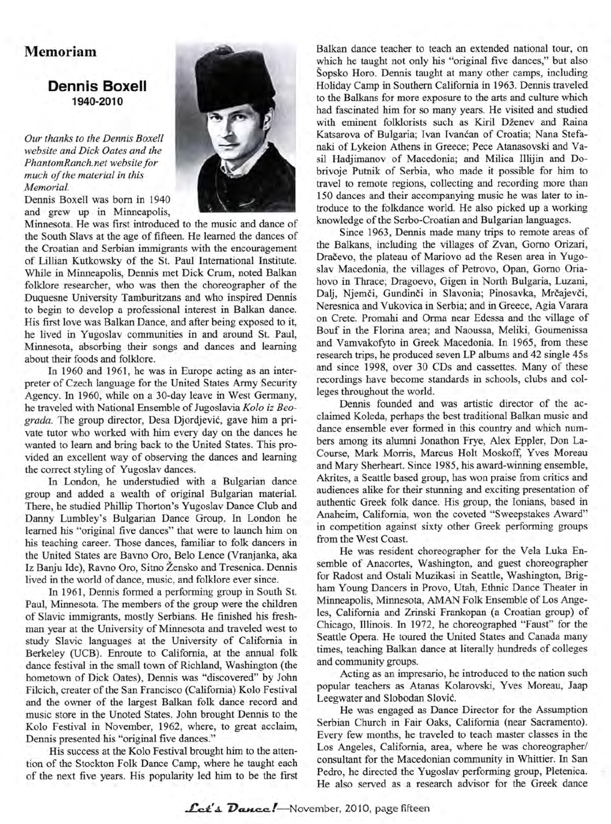## **Memoriam**

## **Dennis Boxell 1940-2010**

*Our thanks to the Dennis Boxell website and Dick Oates and the PhantomRanch.net website for much of the material in this Memorial.*

Dennis Boxell was born in 1940 and grew up in Minneapolis,

Minnesota. He was first introduced to the music and dance of the South Slavs at the age of fifteen. He learned the dances of the Croatian and Serbian immigrants with the encouragement of Lillian Kutkowsky of the St. Paul International Institute. While in Minneapolis, Dennis met Dick Crum, noted Balkan folklore researcher, who was then the choreographer of the Duquesne University Tamburitzans and who inspired Dennis to begin to develop a professional interest in Balkan dance. His first love was Balkan Dance, and after being exposed to it, he lived in Yugoslav communities in and around St. Paul, Minnesota, absorbing their songs and dances and learning about their foods and folklore.

In 1960 and 1961, he was in Europe acting as an interpreter of Czech language for the United States Army Security Agency. In 1960, while on a 30-day leave in West Germany, he traveled with National Ensemble of Jugoslavia *Kolo iz Beograda.* The group director, Desa Djordjevic, gave him a private tutor who worked with him every day on the dances he wanted to learn and bring back to the United States. This provided an excellent way of observing the dances and learning the correct styling of Yugoslav dances.

In London, he understudied with a Bulgarian dance group and added a wealth of original Bulgarian material. There, he studied Phillip Thorton's Yugoslav Dance Club and Danny Lumbley's Bulgarian Dance Group. In London he learned his "original five dances" that were to launch him on his teaching career. Those dances, familiar to folk dancers in the United States are Bavno Oro, Belo Lence (Vranjanka, aka Iz Banju Ide), Ravno Oro, Sitno Zensko and Tresenica. Dennis lived in the world of dance, music, and folklore ever since.

In 1961, Dennis formed a performing group in South St. Paul, Minnesota. The members of the group were the children of Slavic immigrants, mostly Serbians. He finished his freshman year at the University of Minnesota and traveled west to study Slavic languages at the University of California in Berkeley (UCB). Enroute to California, at the annual folk dance festival in the small town of Richland, Washington (the hometown of Dick Oates), Dennis was "discovered" by John Filcich, creater of the San Francisco (California) Kolo Festival and the owner of the largest Balkan folk dance record and music store in the Unoted States. John brought Dennis to the Kolo Festival in November, 1962, where, to great acclaim, Dennis presented his "original five dances."

His success at the Kolo Festival brought him to the attention of the Stockton Folk Dance Camp, where he taught each of the next five years. His popularity led him to be the first



Balkan dance teacher to teach an extended national tour, on which he taught not only his "original five dances," but also Sopsko Horo. Dennis taught at many other camps, including Holiday Camp in Southern California in 1963. Dennis traveled to the Balkans for more exposure to the arts and culture which had fascinated him for so many years. He visited and studied with eminent folklorists such as Kiril Dženev and Raina Katsarova of Bulgaria; Ivan Ivancan of Croatia; Nana Stefanaki of Lykeion Athens in Greece; Pece Atanasovski and Vasil Hadjimanov of Macedonia; and Milica Illijin and Dobrivoje Putnik of Serbia, who made it possible for him to travel to remote regions, collecting and recording more than 150 dances and their accompanying music he was later to introduce to the folkdance world. He also picked up a working knowledge of the Serbo-Croatian and Bulgarian languages.

Since 1963, Dennis made many trips to remote areas of the Balkans, including the villages of Zvan, Gorno Orizari, Dra£evo, the plateau of Mariovo ad the Resen area in Yugoslav Macedonia, the villages of Petrovo, Opan, Gorno Oriahovo in Thrace; Dragoevo, Gigen in North Bulgaria, Luzani, Dalj, Njemči, Gundinči in Slavonia; Pinosavka, Mrčajevči, Neresnica and Vukovica in Serbia; and in Greece, Agia Varara on Crete. Promahi and Orma near Edessa and the village of Bouf in the Fiorina area; and Naoussa, Meliki, Goumenissa and Vamvakofyto in Greek Macedonia. In 1965, from these research trips, he produced seven LP albums and 42 single 45s and since 1998, over 30 CDs and cassettes. Many of these recordings have become standards in schools, clubs and colleges throughout the world.

Dennis founded and was artistic director of the acclaimed Koleda, perhaps the best traditional Balkan music and dance ensemble ever formed in this country and which numbers among its alumni Jonathon Frye, Alex Eppler, Don La-Course, Mark Morris, Marcus Holt Moskoff, Yves Moreau and Mary Sherheart. Since 1985, his award-winning ensemble, Akrites, a Seattle based group, has won praise from critics and audiences alike for their stunning and exciting presentation of authentic Greek folk dance. His group, the lonians, based in Anaheim, California, won the coveted "Sweepstakes Award" in competition against sixty other Greek performing groups from the West Coast.

He was resident choreographer for the Vela Luka Ensemble of Anacortes, Washington, and guest choreographer for Radost and Ostali Muzikasi in Seattle, Washington, Brigham Young Dancers in Provo, Utah, Ethnic Dance Theater in Minneapolis, Minnesota, AMAN Folk Ensemble of Los Angeles, California and Zrinski Frankopan (a Croatian group) of Chicago, Illinois. In 1972, he choreographed "Faust" for the Seattle Opera. He toured the United States and Canada many times, teaching Balkan dance at literally hundreds of colleges and community groups.

Acting as an impresario, he introduced to the nation such popular teachers as Atanas Kolarovski, Yves Moreau, Jaap Leegwater and Slobodan Slovic.

He was engaged as Dance Director for the Assumption Serbian Church in Fair Oaks, California (near Sacramento). Every few months, he traveled to teach master classes in the Los Angeles, California, area, where he was choreographer/ consultant for the Macedonian community in Whittier. In San Pedro, he directed the Yugoslav performing group, Pletenica. He also served as a research advisor for the Greek dance